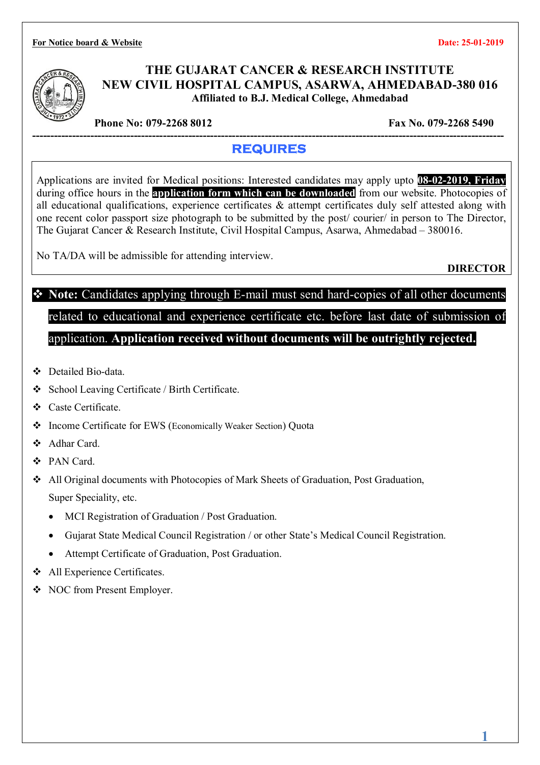**For Notice board & Website Date: 25-01-2019** 



### **THE GUJARAT CANCER & RESEARCH INSTITUTE NEW CIVIL HOSPITAL CAMPUS, ASARWA, AHMEDABAD-380 016 Affiliated to B.J. Medical College, Ahmedabad**

**Phone No: 079-2268 8012** Fax No. 079-2268 5490

#### **---------------------------------------------------------------------------------------------------------------------------------- REQUIRES**

Applications are invited for Medical positions: Interested candidates may apply upto **08-02-2019, Friday** during office hours in the **application form which can be downloaded** from our website. Photocopies of all educational qualifications, experience certificates & attempt certificates duly self attested along with one recent color passport size photograph to be submitted by the post/ courier/ in person to The Director, The Gujarat Cancer & Research Institute, Civil Hospital Campus, Asarwa, Ahmedabad – 380016.

No TA/DA will be admissible for attending interview.

**DIRECTOR**

**1**

## **Note:** Candidates applying through E-mail must send hard-copies of all other documents related to educational and experience certificate etc. before last date of submission of application. **Application received without documents will be outrightly rejected.**

- Detailed Bio-data.
- School Leaving Certificate / Birth Certificate.
- Caste Certificate.
- Income Certificate for EWS (Economically Weaker Section) Quota
- ❖ Adhar Card
- PAN Card.
- All Original documents with Photocopies of Mark Sheets of Graduation, Post Graduation, Super Speciality, etc.
	- MCI Registration of Graduation / Post Graduation.
	- Gujarat State Medical Council Registration / or other State's Medical Council Registration.
	- Attempt Certificate of Graduation, Post Graduation.
- All Experience Certificates.
- NOC from Present Employer.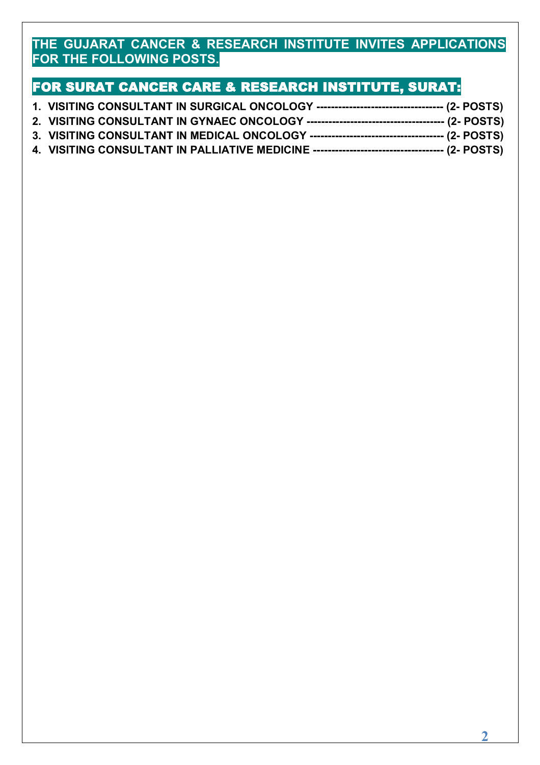### **THE GUJARAT CANCER & RESEARCH INSTITUTE INVITES APPLICATIONS FOR THE FOLLOWING POSTS.**

## **FOR SURAT CANCER CARE & RESEARCH INSTITUTE, SURAT:**

| 1. VISITING CONSULTANT IN SURGICAL ONCOLOGY ----------------------------------- (2- POSTS)   |  |
|----------------------------------------------------------------------------------------------|--|
|                                                                                              |  |
|                                                                                              |  |
| 4. VISITING CONSULTANT IN PALLIATIVE MEDICINE ----------------------------------- (2- POSTS) |  |